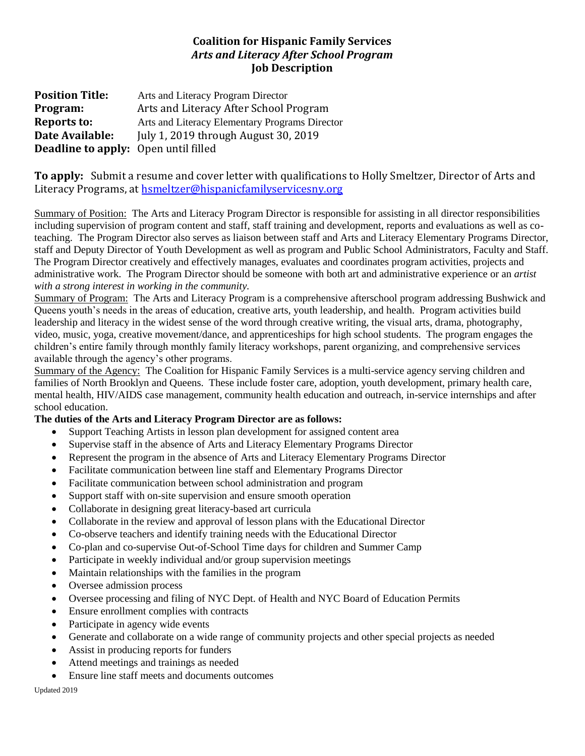## **Coalition for Hispanic Family Services** *Arts and Literacy After School Program* **Job Description**

**Position Title:** Arts and Literacy Program Director **Program:** Arts and Literacy After School Program **Reports to:** Arts and Literacy Elementary Programs Director **Date Available:** July 1, 2019 through August 30, 2019 **Deadline to apply:** Open until filled

**To apply:** Submit a resume and cover letter with qualifications to Holly Smeltzer, Director of Arts and Literacy Programs, at [hsmeltzer@hispanicfamilyservicesny.org](mailto:hsmeltzer@hispanicfamilyservicesny.org)

Summary of Position: The Arts and Literacy Program Director is responsible for assisting in all director responsibilities including supervision of program content and staff, staff training and development, reports and evaluations as well as coteaching. The Program Director also serves as liaison between staff and Arts and Literacy Elementary Programs Director, staff and Deputy Director of Youth Development as well as program and Public School Administrators, Faculty and Staff. The Program Director creatively and effectively manages, evaluates and coordinates program activities, projects and administrative work. The Program Director should be someone with both art and administrative experience or an *artist with a strong interest in working in the community.*

Summary of Program: The Arts and Literacy Program is a comprehensive afterschool program addressing Bushwick and Queens youth's needs in the areas of education, creative arts, youth leadership, and health. Program activities build leadership and literacy in the widest sense of the word through creative writing, the visual arts, drama, photography, video, music, yoga, creative movement/dance, and apprenticeships for high school students. The program engages the children's entire family through monthly family literacy workshops, parent organizing, and comprehensive services available through the agency's other programs.

Summary of the Agency: The Coalition for Hispanic Family Services is a multi-service agency serving children and families of North Brooklyn and Queens. These include foster care, adoption, youth development, primary health care, mental health, HIV/AIDS case management, community health education and outreach, in-service internships and after school education.

## **The duties of the Arts and Literacy Program Director are as follows:**

- Support Teaching Artists in lesson plan development for assigned content area
- Supervise staff in the absence of Arts and Literacy Elementary Programs Director
- Represent the program in the absence of Arts and Literacy Elementary Programs Director
- Facilitate communication between line staff and Elementary Programs Director
- Facilitate communication between school administration and program
- Support staff with on-site supervision and ensure smooth operation
- Collaborate in designing great literacy-based art curricula
- Collaborate in the review and approval of lesson plans with the Educational Director
- Co-observe teachers and identify training needs with the Educational Director
- Co-plan and co-supervise Out-of-School Time days for children and Summer Camp
- Participate in weekly individual and/or group supervision meetings
- Maintain relationships with the families in the program
- Oversee admission process
- Oversee processing and filing of NYC Dept. of Health and NYC Board of Education Permits
- Ensure enrollment complies with contracts
- Participate in agency wide events
- Generate and collaborate on a wide range of community projects and other special projects as needed
- Assist in producing reports for funders
- Attend meetings and trainings as needed
- Ensure line staff meets and documents outcomes

Updated 2019